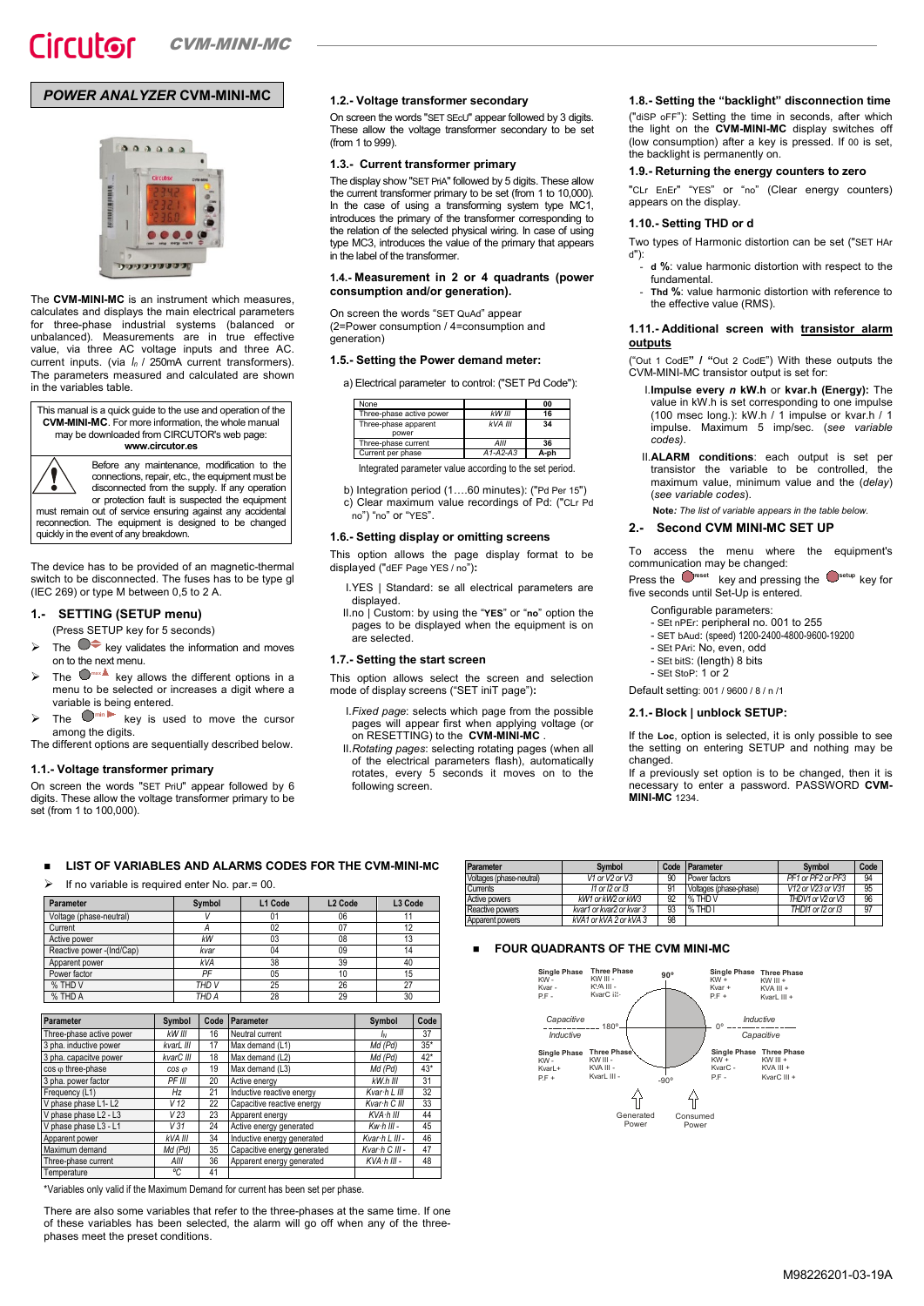# *POWER ANALYZER* **CVM-MINI-MC**



The **CVM-MINI-MC** is an instrument which measures, calculates and displays the main electrical parameters for three-phase industrial systems (balanced or<br>unbalanced) Measurements are in true effective unbalanced). Measurements are in true effective value, via three AC voltage inputs and three AC. current inputs. (via *In* / 250mA current transformers). The parameters measured and calculated are shown in the variables table.

This manual is a quick guide to the use and operation of the **CVM-MINI-MC**. For more information, the whole manual may be downloaded from CIRCUTOR's web page: **www.circutor.es**

> Before any maintenance, modification to the connections, repair, etc., the equipment must be disconnected from the supply. If any operation

or protection fault is suspected the equipment must remain out of service ensuring against any accidental reconnection. The equipment is designed to be changed quickly in the event of any breakdown.

The device has to be provided of an magnetic-thermal switch to be disconnected. The fuses has to be type gl (IEC 269) or type M between 0,5 to 2 A.

## **1.- SETTING (SETUP menu)**

(Press SETUP key for 5 seconds)

- The  $\bullet\bullet$  key validates the information and moves on to the next menu.
- $\triangleright$  The  $\bigcup_{m \times n}$  key allows the different options in a menu to be selected or increases a digit where a variable is being entered.
- $\triangleright$  The  $\blacksquare$ <sup>min</sup> key is used to move the cursor among the digits.

The different options are sequentially described below.

## **1.1.- Voltage transformer primary**

On screen the words "SET PriU" appear followed by 6 digits. These allow the voltage transformer primary to be set (from 1 to 100,000).

## **1.2.- Voltage transformer secondary**

On screen the words "SET SEcU" appear followed by 3 digits. These allow the voltage transformer secondary to be set (from 1 to 999).

## **1.3.- Current transformer primary**

The display show "SET PriA" followed by 5 digits. These allow the current transformer primary to be set (from 1 to 10,000). In the case of using a transforming system type MC1, introduces the primary of the transformer corresponding to the relation of the selected physical wiring. In case of using type MC3, introduces the value of the primary that appears in the label of the transformer.

## **1.4.- Measurement in 2 or 4 quadrants (power consumption and/or generation).**

On screen the words "SET QuAd" appear (2=Power consumption / 4=consumption and generation)

### **1.5.- Setting the Power demand meter:**

a) Electrical parameter to control: ("SET Pd Code"):

| None                          |            | 00   |
|-------------------------------|------------|------|
| Three-phase active power      | kW III     | 16   |
| Three-phase apparent<br>power | kVA III    | 34   |
| Three-phase current           | AllI       | 36   |
| Current per phase             | $A1-A2-A3$ | A-ph |

Integrated parameter value according to the set period.

b) Integration period (1….60 minutes): ("Pd Per 15")

c) Clear maximum value recordings of Pd: ("CLr Pd no") "no" or "YES".

#### **1.6.- Setting display or omitting screens**

This option allows the page display format to be displayed ("dEF Page YES / no")**:**

I.YES | Standard: se all electrical parameters are displayed.

II.no | Custom: by using the "**YES**" or "**no**" option the pages to be displayed when the equipment is on are selected.

#### **1.7.- Setting the start screen**

This option allows select the screen and selection mode of display screens ("SET iniT page")**:**

- I.*Fixed page*: selects which page from the possible pages will appear first when applying voltage (or on RESETTING) to the **CVM-MINI-MC** .
- II.*Rotating pages*: selecting rotating pages (when all of the electrical parameters flash), automatically rotates, every 5 seconds it moves on to the following screen.

## **1.8.- Setting the "backlight" disconnection time**

("diSP oFF"): Setting the time in seconds, after which the light on the **CVM-MINI-MC** display switches off (low consumption) after a key is pressed. If 00 is set, the backlight is permanently on.

## **1.9.- Returning the energy counters to zero**

"CLr EnEr" "YES" or "no" (Clear energy counters) appears on the display.

#### **1.10.- Setting THD or d**

Two types of Harmonic distortion can be set ("SET HAr d"):

- **d %**: value harmonic distortion with respect to the fundamental.
- **Thd %: value harmonic distortion with reference to** the effective value (RMS).

## 1.11.- Additional screen with **transistor alarm outputs**

("Out 1 CodE**" / "**Out 2 CodE") With these outputs the CVM-MINI-MC transistor output is set for:

- I.**Impulse every** *n* **kW.h** or **kvar.h (Energy):** The value in kW.h is set corresponding to one impulse (100 msec long.): kW.h / 1 impulse or kvar.h / 1 impulse. Maximum 5 imp/sec. (*see variable codes)*.
- II.**ALARM conditions**: each output is set per transistor the variable to be controlled, the maximum value, minimum value and the (*delay*) (*see variable codes*).

**Note***: The list of variable appears in the table below.*

## **2.- Second CVM MINI-MC SET UP**

To access the menu where the equipment's communication may be changed:

Press the **netally reset** key and pressing the setup key for five seconds until Set-Up is entered.

- Configurable parameters:
- SEt nPEr: peripheral no. 001 to 255
- SET bAud: (speed) 1200-2400-4800-9600-19200
- SEt PAri: No, even, odd - SEt bitS: (length) 8 bits
- SEt StoP: 1 or 2

Default setting: 001 / 9600 / 8 / n /1

#### **2.1.- Block | unblock SETUP:**

If the **Loc**, option is selected, it is only possible to see the setting on entering SETUP and nothing may be changed.

If a previously set option is to be changed, then it is necessary to enter a password. PASSWORD **CVM-MINI-MC** 1234.

#### **LIST OF VARIABLES AND ALARMS CODES FOR THE CVM-MINI-MC**

If no variable is required enter No. par.= 00.

| Parameter                 | Symbol     | L1 Code | L <sub>2</sub> Code | L3 Code |
|---------------------------|------------|---------|---------------------|---------|
| Voltage (phase-neutral)   |            | 01      | 06                  |         |
| Current                   |            | 02      |                     | 12      |
| Active power              | kW         | 03      | 08                  | 13      |
| Reactive power -(Ind/Cap) | kvar       | 04      | 09                  | 14      |
| Apparent power            | <b>kVA</b> | 38      | 39                  | 40      |
| Power factor              | PF         | 05      | 10                  | 15      |
| % THD V                   | THD V      | 25      | 26                  | 27      |
| % THD A                   | THD A      | 28      | 29                  | 30      |

| Parameter                | Symbol          | Code | Parameter                   | Symbol             | Code  |  |
|--------------------------|-----------------|------|-----------------------------|--------------------|-------|--|
| Three-phase active power | kW III          | 16   | Neutral current             | ΙŅ                 | 37    |  |
| 3 pha. inductive power   | kvarL III       | 17   | Max demand (L1)             | Md (Pd)            | $35*$ |  |
| 3 pha. capacitve power   | kvarC III       | 18   | Max demand (L2)             | Md (Pd)            | $42*$ |  |
| cos o three-phase        | $cos \omega$    | 19   | Max demand (L3)             | Md (Pd)            | $43*$ |  |
| 3 pha. power factor      | PF III          | 20   | Active energy               | $kW.h$ III         | 31    |  |
| Frequency (L1)           | Hz              | 21   | Inductive reactive energy   | Kvar h L III       | 32    |  |
| V phase phase L1-L2      | V <sub>12</sub> | 22   | Capacitive reactive energy  | Kvar h C III       | 33    |  |
| V phase phase L2 - L3    | V <sub>23</sub> | 23   | Apparent energy             | KVA h III          | 44    |  |
| V phase phase L3 - L1    | V <sub>31</sub> | 24   | Active energy generated     | $Kw \cdot h$ III - | 45    |  |
| Apparent power           | kVA III         | 34   | Inductive energy generated  | Kvar h L III -     | 46    |  |
| Maximum demand           | Md (Pd)         | 35   | Capacitive energy generated | Kvar h C III -     | 47    |  |
| Three-phase current      | AllI            | 36   | Apparent energy generated   | $KVA·h III -$      | 48    |  |
| Temperature              | °C              | 41   |                             |                    |       |  |

\*Variables only valid if the Maximum Demand for current has been set per phase.

There are also some variables that refer to the three-phases at the same time. If one of these variables has been selected, the alarm will go off when any of the threephases meet the preset conditions.

| Parameter                | <b>Symbol</b>            | Code | Parameter              | <b>Symbol</b>     | Code |
|--------------------------|--------------------------|------|------------------------|-------------------|------|
| Voltages (phase-neutral) | V1 or V2 or V3           | 90   | Power factors          | PF1 or PF2 or PF3 | 94   |
| Currents                 | 11 or 12 or 13           | 91   | Voltages (phase-phase) | V12 or V23 or V31 | 95   |
| Active powers            | kW1 or kW2 or kW3        | 92   | % THD V                | THDV1 or V2 or V3 | 96   |
| Reactive powers          | kvar1 or kvar2 or kvar 3 | 93   | % THD I                | THDI1 or I2 or I3 | 97   |
| Apparent powers          | kVA1 or kVA 2 or kVA 3   | 98   |                        |                   |      |

### **FOUR QUADRANTS OF THE CVM MINI-MC**